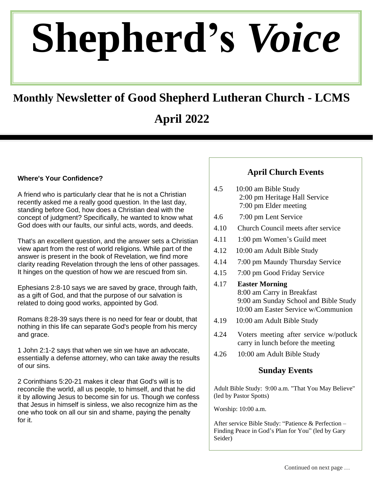# **Shepherd's** *Voice*

# **Monthly Newsletter of Good Shepherd Lutheran Church - LCMS**

# **April 2022**

#### **Where's Your Confidence?**

A friend who is particularly clear that he is not a Christian recently asked me a really good question. In the last day, standing before God, how does a Christian deal with the concept of judgment? Specifically, he wanted to know what God does with our faults, our sinful acts, words, and deeds.

That's an excellent question, and the answer sets a Christian view apart from the rest of world religions. While part of the answer is present in the book of Revelation, we find more clarity reading Revelation through the lens of other passages. It hinges on the question of how we are rescued from sin.

Ephesians 2:8-10 says we are saved by grace, through faith, as a gift of God, and that the purpose of our salvation is related to doing good works, appointed by God.

Romans 8:28-39 says there is no need for fear or doubt, that nothing in this life can separate God's people from his mercy and grace.

1 John 2:1-2 says that when we sin we have an advocate, essentially a defense attorney, who can take away the results of our sins.

2 Corinthians 5:20-21 makes it clear that God's will is to reconcile the world, all us people, to himself, and that he did it by allowing Jesus to become sin for us. Though we confess that Jesus in himself is sinless, we also recognize him as the one who took on all our sin and shame, paying the penalty for it.

#### **April Church Events**

- 4.5 10:00 am Bible Study 2:00 pm Heritage Hall Service 7:00 pm Elder meeting
- 4.6 7:00 pm Lent Service
- 4.10 Church Council meets after service
- 4.11 1:00 pm Women's Guild meet
- 4.12 10:00 am Adult Bible Study
- 4.14 7:00 pm Maundy Thursday Service
- 4.15 7:00 pm Good Friday Service
- 4.17 **Easter Morning** 8:00 am Carry in Breakfast 9:00 am Sunday School and Bible Study 10:00 am Easter Service w/Communion
- 4.19 10:00 am Adult Bible Study
- 4.24 Voters meeting after service w/potluck carry in lunch before the meeting
- 4.26 10:00 am Adult Bible Study

#### **Sunday Events**

Adult Bible Study: 9:00 a.m. "That You May Believe" (led by Pastor Spotts)

Worship: 10:00 a.m.

After service Bible Study: "Patience & Perfection – Finding Peace in God's Plan for You" (led by Gary Seider)

Children's Church is offered on Non-Communion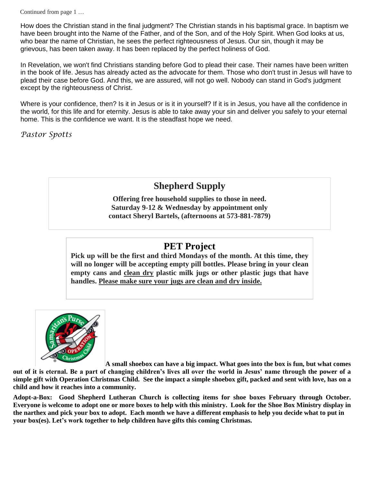Continued from page 1 …

How does the Christian stand in the final judgment? The Christian stands in his baptismal grace. In baptism we have been brought into the Name of the Father, and of the Son, and of the Holy Spirit. When God looks at us, who bear the name of Christian, he sees the perfect righteousness of Jesus. Our sin, though it may be grievous, has been taken away. It has been replaced by the perfect holiness of God.

In Revelation, we won't find Christians standing before God to plead their case. Their names have been written in the book of life. Jesus has already acted as the advocate for them. Those who don't trust in Jesus will have to plead their case before God. And this, we are assured, will not go well. Nobody can stand in God's judgment except by the righteousness of Christ.

Where is your confidence, then? Is it in Jesus or is it in yourself? If it is in Jesus, you have all the confidence in the world, for this life and for eternity. Jesus is able to take away your sin and deliver you safely to your eternal home. This is the confidence we want. It is the steadfast hope we need.

*Pastor Spotts*

# **Shepherd Supply**

**Offering free household supplies to those in need. Saturday 9-12 & Wednesday by appointment only contact Sheryl Bartels, (afternoons at 573-881-7879)**

## **PET Project**

**Pick up will be the first and third Mondays of the month. At this time, they will no longer will be accepting empty pill bottles. Please bring in your clean empty cans and clean dry plastic milk jugs or other plastic jugs that have handles. Please make sure your jugs are clean and dry inside.**



**A small shoebox can have a big impact. What goes into the box is fun, but what comes** 

**out of it is eternal. Be a part of changing children's lives all over the world in Jesus' name through the power of a simple gift with Operation Christmas Child. See the impact a simple shoebox gift, packed and sent with love, has on a child and how it reaches into a community.** 

**Adopt-a-Box: Good Shepherd Lutheran Church is collecting items for shoe boxes February through October. Everyone is welcome to adopt one or more boxes to help with this ministry. Look for the Shoe Box Ministry display in the narthex and pick your box to adopt. Each month we have a different emphasis to help you decide what to put in your box(es). Let's work together to help children have gifts this coming Christmas.**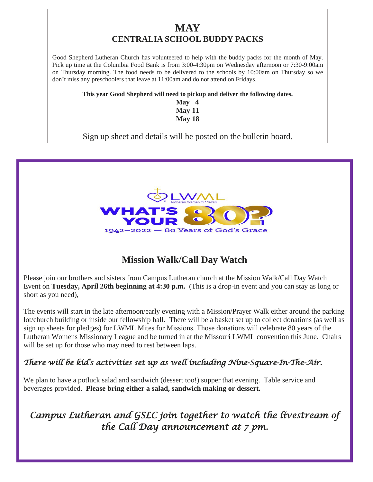## **MAY CENTRALIA SCHOOL BUDDY PACKS**

Good Shepherd Lutheran Church has volunteered to help with the buddy packs for the month of May. Pick up time at the Columbia Food Bank is from 3:00-4:30pm on Wednesday afternoon or 7:30-9:00am on Thursday morning. The food needs to be delivered to the schools by 10:00am on Thursday so we don't miss any preschoolers that leave at 11:00am and do not attend on Fridays.

**This year Good Shepherd will need to pickup and deliver the following dates.**

**May 4 May 11 May 18**

Sign up sheet and details will be posted on the bulletin board.



# **Mission Walk/Call Day Watch**

Please join our brothers and sisters from Campus Lutheran church at the Mission Walk/Call Day Watch Event on **Tuesday, April 26th beginning at 4:30 p.m.** (This is a drop-in event and you can stay as long or short as you need),

The events will start in the late afternoon/early evening with a Mission/Prayer Walk either around the parking lot/church building or inside our fellowship hall. There will be a basket set up to collect donations (as well as sign up sheets for pledges) for LWML Mites for Missions. Those donations will celebrate 80 years of the Lutheran Womens Missionary League and be turned in at the Missouri LWML convention this June. Chairs will be set up for those who may need to rest between laps.

## *There will be kid's activities set up as well including Nine-Square-In-The-Air.*

We plan to have a potluck salad and sandwich (dessert too!) supper that evening. Table service and beverages provided. **Please bring either a salad, sandwich making or dessert.**

*Campus Lutheran and GSLC join together to watch the livestream of the Call Day announcement at 7 pm.*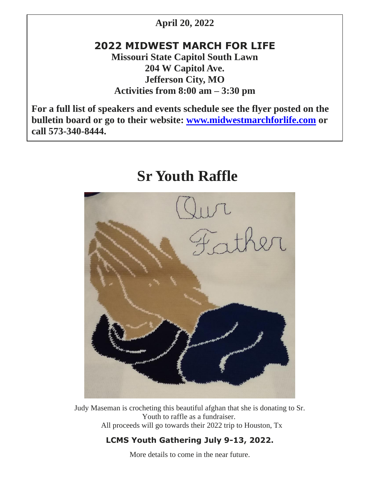## **April 20, 2022**

# **2022 MIDWEST MARCH FOR LIFE**

**Missouri State Capitol South Lawn 204 W Capitol Ave. Jefferson City, MO Activities from 8:00 am – 3:30 pm**

**For a full list of speakers and events schedule see the flyer posted on the bulletin board or go to their website: [www.midwestmarchforlife.com](http://www.midwestmarchforlife.com/) or call 573-340-8444.**

# **Sr Youth Raffle**



Judy Maseman is crocheting this beautiful afghan that she is donating to Sr. Youth to raffle as a fundraiser. All proceeds will go towards their 2022 trip to Houston, Tx

### **LCMS Youth Gathering July 9-13, 2022.**

More details to come in the near future.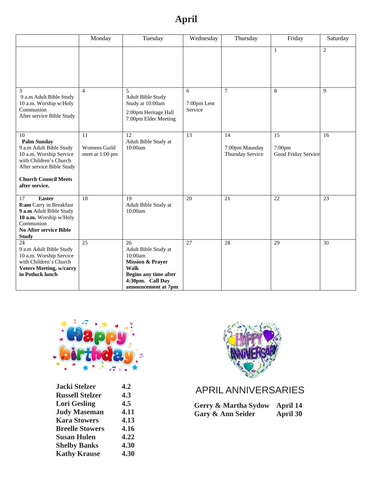# **April**

|                                                                                                                                                                                        | Monday                                | Tuesday                                                                                                                                          | Wednesday                   | Thursday                                 | Friday                              | Saturday        |
|----------------------------------------------------------------------------------------------------------------------------------------------------------------------------------------|---------------------------------------|--------------------------------------------------------------------------------------------------------------------------------------------------|-----------------------------|------------------------------------------|-------------------------------------|-----------------|
|                                                                                                                                                                                        |                                       |                                                                                                                                                  |                             |                                          | $\mathbf{1}$                        | $\overline{2}$  |
| 3<br>9 a.m Adult Bible Study<br>10 a.m. Worship w/Holy<br>Communion<br>After service Bible Study                                                                                       | $\overline{4}$                        | 5<br><b>Adult Bible Study</b><br>Study at 10:00am<br>2:00pm Heritage Hall<br>7:00pm Elder Meeting                                                | 6<br>7:00pm Lent<br>Service | $\tau$                                   | 8                                   | 9               |
| 10<br><b>Palm Sunday</b><br>9 a.m Adult Bible Study<br>10 a.m. Worship Service<br>with Children's Church<br>After service Bible Study<br><b>Church Council Meets</b><br>after service. | 11<br>Womens Guild<br>meet at 1:00 pm | 12<br>Adult Bible Study at<br>10:00am                                                                                                            | 13                          | 14<br>7:00pm Maunday<br>Thursday Service | 15<br>7:00pm<br>Good Friday Service | 16              |
| <b>Easter</b><br>17<br>8:am Carry in Breakfast<br>9 a.m Adult Bible Study<br>10 a.m. Worship w/Holy<br>Communion<br>No After service Bible<br><b>Study</b>                             | 18                                    | 19<br>Adult Bible Study at<br>10:00am                                                                                                            | 20                          | 21                                       | 22                                  | $\overline{23}$ |
| 24<br>9 a.m Adult Bible Study<br>10 a.m. Worship Service<br>with Children's Church<br><b>Voters Meeting, w/carry</b><br>in Potluck lunch                                               | 25                                    | 26<br>Adult Bible Study at<br>10:00am<br><b>Mission &amp; Prayer</b><br>Walk<br>Begins any time after<br>4:30pm. Call Day<br>announcement at 7pm | 27                          | 28                                       | 29                                  | 30              |



| 4.2  |
|------|
| 4.3  |
| 4.5  |
| 4.11 |
| 4.13 |
| 4.16 |
| 4.22 |
| 4.30 |
| 4.30 |
|      |



# APRIL ANNIVERSARIES

| Gerry & Martha Sydow April 14 |                 |
|-------------------------------|-----------------|
| Gary & Ann Seider             | <b>April 30</b> |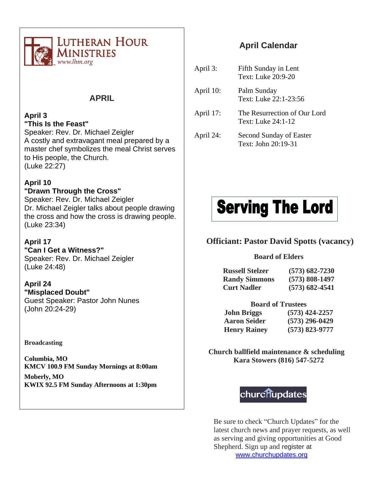

## **APRIL**

#### **April 3 "This Is the Feast"**

Speaker: Rev. Dr. Michael Zeigler A costly and extravagant meal prepared by a master chef symbolizes the meal Christ serves to His people, the Church. (Luke 22:27)

#### **April 10**

**"Drawn Through the Cross"** Speaker: Rev. Dr. Michael Zeigler Dr. Michael Zeigler talks about people drawing the cross and how the cross is drawing people. (Luke 23:34)

#### **April 17**

**"Can I Get a Witness?"** Speaker: Rev. Dr. Michael Zeigler (Luke 24:48)

#### **April 24 "Misplaced Doubt"**

Guest Speaker: Pastor John Nunes (John 20:24-29)

#### **Broadcasting**

**Columbia, MO KMCV 100.9 FM Sunday Mornings at 8:00am**

**Moberly, MO KWIX 92.5 FM Sunday Afternoons at 1:30pm**

## **April Calendar**

April 3: Fifth Sunday in Lent Text: Luke 20:9-20 April 10: Palm Sunday Text: Luke 22:1-23:56 April 17: The Resurrection of Our Lord Text: Luke 24:1-12 April 24: Second Sunday of Easter Text: John 20:19-31



#### **Officiant: Pastor David Spotts (vacancy)**

#### **Board of Elders**

| <b>Russell Stelzer</b> | $(573) 682 - 7230$ |
|------------------------|--------------------|
| <b>Randy Simmons</b>   | $(573) 808 - 1497$ |
| <b>Curt Nadler</b>     | $(573) 682 - 4541$ |

#### **Board of Trustees**

**John Briggs (573) 424-2257 Aaron Seider (573) 296-0429 Henry Rainey (573) 823-9777**

**Church ballfield maintenance & scheduling Kara Stowers (816) 547-5272**



Be sure to check "Church Updates" for the latest church news and prayer requests, as well as serving and giving opportunities at Good Shepherd. Sign up and register at [www.churchupdates.org](http://www.churchupdates.org/)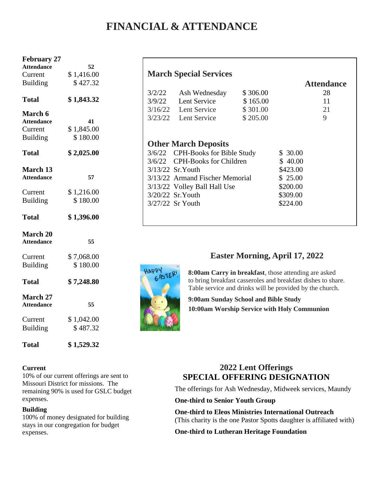# **FINANCIAL & ATTENDANCE**

| <b>February 27</b>                   |            |
|--------------------------------------|------------|
| <b>Attendance</b>                    | 52         |
| Current                              | \$1,416.00 |
| <b>Building</b>                      | \$427.32   |
| <b>Total</b>                         | \$1,843.32 |
| <b>March 6</b>                       |            |
| <b>Attendance</b>                    | 41         |
| Current                              | \$1,845.00 |
| <b>Building</b>                      | \$180.00   |
| <b>Total</b>                         | \$2,025.00 |
| <b>March 13</b>                      |            |
| <b>Attendance</b>                    | 57         |
| Current                              | \$1,216.00 |
| <b>Building</b>                      | \$180.00   |
| <b>Total</b>                         | \$1,396.00 |
| March 20<br><b>Attendance</b>        | 55         |
| Current                              | \$7,068.00 |
| <b>Building</b>                      | \$180.00   |
|                                      |            |
| <b>Total</b>                         | \$7,248.80 |
| <b>March 27</b><br><b>Attendance</b> | 55         |
| Current                              | \$1,042.00 |
| <b>Building</b>                      | \$487.32   |
|                                      |            |

#### **Current**

10% of our current offerings are sent to Missouri District for missions. The remaining 90% is used for GSLC budget expenses.

**Total \$ 1,529.32**

#### **Building**

100% of money designated for building stays in our congregation for budget expenses.

#### **March Special Services**

| 3/2/22 | Ash Wednesday          | \$306.00 | 28 |
|--------|------------------------|----------|----|
| 3/9/22 | Lent Service           | \$165.00 | 11 |
|        | $3/16/22$ Lent Service | \$301.00 | 21 |
|        | $3/23/22$ Lent Service | \$205.00 | Q  |

 **Attendance**

## **Other March Deposits**

| 3/6/22 CPH-Books for Bible Study | \$30.00  |
|----------------------------------|----------|
| 3/6/22 CPH-Books for Children    | \$40.00  |
| 3/13/22 Sr. Youth                | \$423.00 |
| 3/13/22 Armand Fischer Memorial  | \$25.00  |
| 3/13/22 Volley Ball Hall Use     | \$200.00 |
| 3/20/22 Sr. Youth                | \$309.00 |
| 3/27/22 Sr Youth                 | \$224.00 |
|                                  |          |



#### **Easter Morning, April 17, 2022**

**8:00am Carry in breakfast**, those attending are asked to bring breakfast casseroles and breakfast dishes to share. Table service and drinks will be provided by the church.

**9:00am Sunday School and Bible Study 10:00am Worship Service with Holy Communion**

#### **2022 Lent Offerings SPECIAL OFFERING DESIGNATION**

The offerings for Ash Wednesday, Midweek services, Maundy

#### **One-third to Senior Youth Group**

**One-third to Eleos Ministries International Outreach** (This charity is the one Pastor Spotts daughter is affiliated with)

#### **One-third to Lutheran Heritage Foundation**